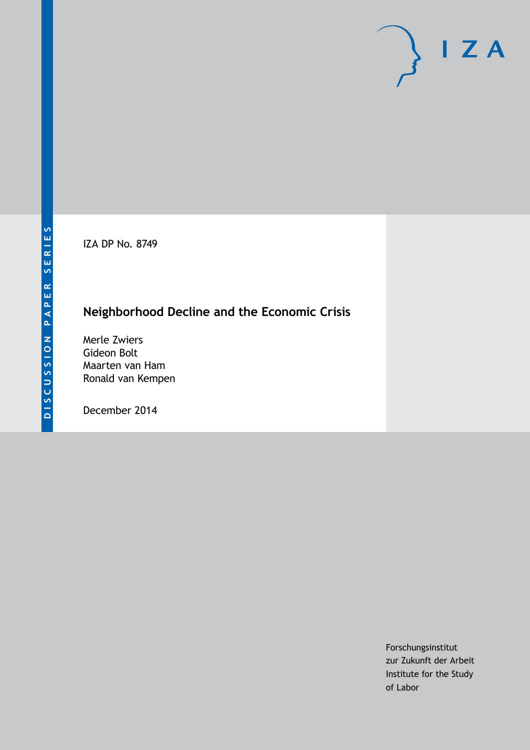IZA DP No. 8749

# **Neighborhood Decline and the Economic Crisis**

Merle Zwiers Gideon Bolt Maarten van Ham Ronald van Kempen

December 2014

Forschungsinstitut zur Zukunft der Arbeit Institute for the Study of Labor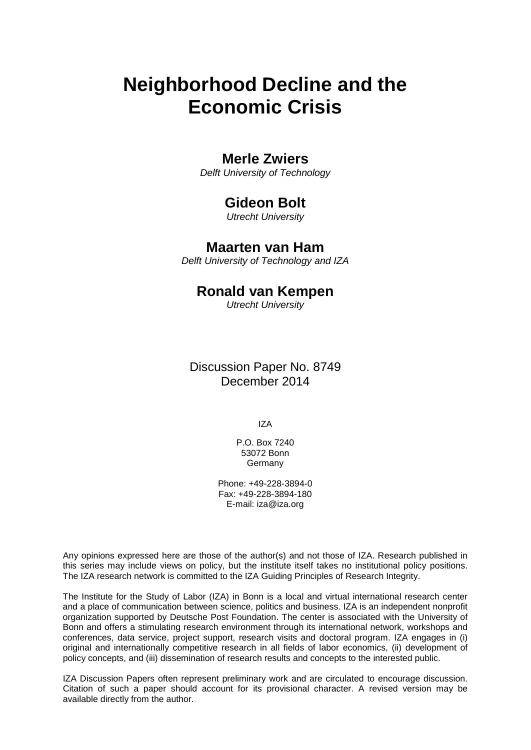# **Neighborhood Decline and the Economic Crisis**

## **Merle Zwiers**

*Delft University of Technology*

## **Gideon Bolt**

*Utrecht University*

### **Maarten van Ham**

*Delft University of Technology and IZA*

## **Ronald van Kempen**

*Utrecht University*

Discussion Paper No. 8749 December 2014

IZA

P.O. Box 7240 53072 Bonn **Germany** 

Phone: +49-228-3894-0 Fax: +49-228-3894-180 E-mail: [iza@iza.org](mailto:iza@iza.org)

Any opinions expressed here are those of the author(s) and not those of IZA. Research published in this series may include views on policy, but the institute itself takes no institutional policy positions. The IZA research network is committed to the IZA Guiding Principles of Research Integrity.

The Institute for the Study of Labor (IZA) in Bonn is a local and virtual international research center and a place of communication between science, politics and business. IZA is an independent nonprofit organization supported by Deutsche Post Foundation. The center is associated with the University of Bonn and offers a stimulating research environment through its international network, workshops and conferences, data service, project support, research visits and doctoral program. IZA engages in (i) original and internationally competitive research in all fields of labor economics, (ii) development of policy concepts, and (iii) dissemination of research results and concepts to the interested public.

IZA Discussion Papers often represent preliminary work and are circulated to encourage discussion. Citation of such a paper should account for its provisional character. A revised version may be available directly from the author.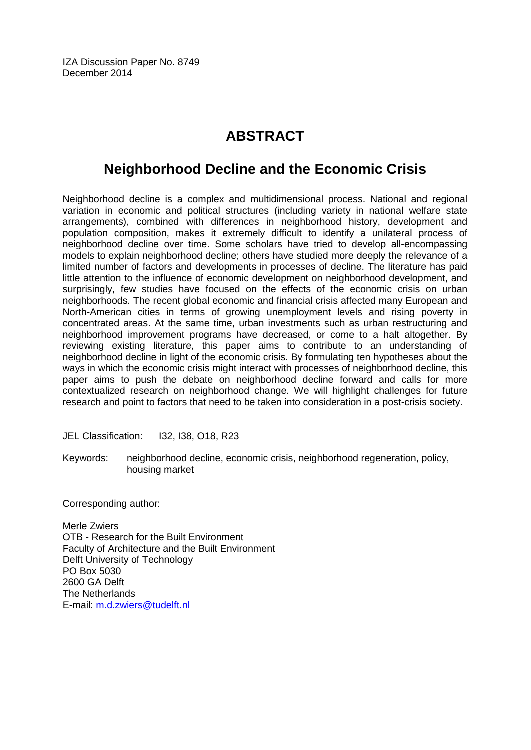IZA Discussion Paper No. 8749 December 2014

# **ABSTRACT**

# **Neighborhood Decline and the Economic Crisis**

Neighborhood decline is a complex and multidimensional process. National and regional variation in economic and political structures (including variety in national welfare state arrangements), combined with differences in neighborhood history, development and population composition, makes it extremely difficult to identify a unilateral process of neighborhood decline over time. Some scholars have tried to develop all-encompassing models to explain neighborhood decline; others have studied more deeply the relevance of a limited number of factors and developments in processes of decline. The literature has paid little attention to the influence of economic development on neighborhood development, and surprisingly, few studies have focused on the effects of the economic crisis on urban neighborhoods. The recent global economic and financial crisis affected many European and North-American cities in terms of growing unemployment levels and rising poverty in concentrated areas. At the same time, urban investments such as urban restructuring and neighborhood improvement programs have decreased, or come to a halt altogether. By reviewing existing literature, this paper aims to contribute to an understanding of neighborhood decline in light of the economic crisis. By formulating ten hypotheses about the ways in which the economic crisis might interact with processes of neighborhood decline, this paper aims to push the debate on neighborhood decline forward and calls for more contextualized research on neighborhood change. We will highlight challenges for future research and point to factors that need to be taken into consideration in a post-crisis society.

JEL Classification: I32, I38, O18, R23

Keywords: neighborhood decline, economic crisis, neighborhood regeneration, policy, housing market

Corresponding author:

Merle Zwiers OTB - Research for the Built Environment Faculty of Architecture and the Built Environment Delft University of Technology PO Box 5030 2600 GA Delft The Netherlands E-mail: [m.d.zwiers@tudelft.nl](mailto:m.d.zwiers@tudelft.nl)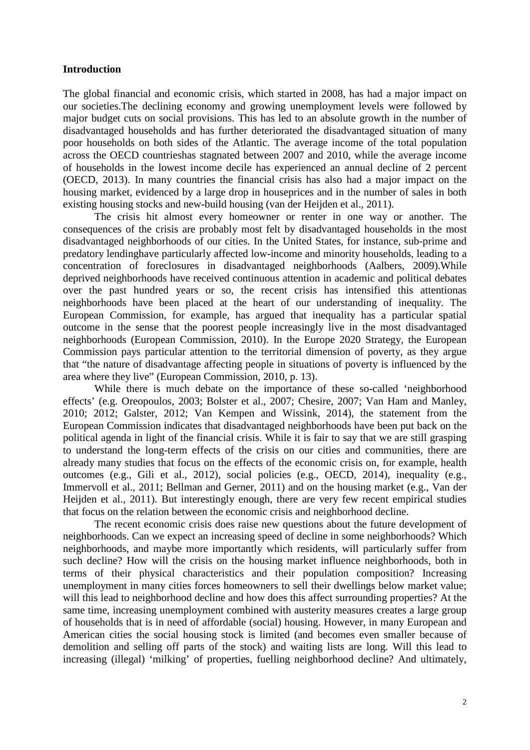#### **Introduction**

The global financial and economic crisis, which started in 2008, has had a major impact on our societies.The declining economy and growing unemployment levels were followed by major budget cuts on social provisions. This has led to an absolute growth in the number of disadvantaged households and has further deteriorated the disadvantaged situation of many poor households on both sides of the Atlantic. The average income of the total population across the OECD countrieshas stagnated between 2007 and 2010, while the average income of households in the lowest income decile has experienced an annual decline of 2 percent (OECD, 2013). In many countries the financial crisis has also had a major impact on the housing market, evidenced by a large drop in houseprices and in the number of sales in both existing housing stocks and new-build housing (van der Heijden et al., 2011).

The crisis hit almost every homeowner or renter in one way or another. The consequences of the crisis are probably most felt by disadvantaged households in the most disadvantaged neighborhoods of our cities. In the United States, for instance, sub-prime and predatory lendinghave particularly affected low-income and minority households, leading to a concentration of foreclosures in disadvantaged neighborhoods (Aalbers, 2009).While deprived neighborhoods have received continuous attention in academic and political debates over the past hundred years or so, the recent crisis has intensified this attentionas neighborhoods have been placed at the heart of our understanding of inequality. The European Commission, for example, has argued that inequality has a particular spatial outcome in the sense that the poorest people increasingly live in the most disadvantaged neighborhoods (European Commission, 2010). In the Europe 2020 Strategy, the European Commission pays particular attention to the territorial dimension of poverty, as they argue that "the nature of disadvantage affecting people in situations of poverty is influenced by the area where they live" (European Commission, 2010, p. 13).

While there is much debate on the importance of these so-called 'neighborhood effects' (e.g. Oreopoulos, 2003; Bolster et al., 2007; Chesire, 2007; Van Ham and Manley, 2010; 2012; Galster, 2012; Van Kempen and Wissink, 2014), the statement from the European Commission indicates that disadvantaged neighborhoods have been put back on the political agenda in light of the financial crisis. While it is fair to say that we are still grasping to understand the long-term effects of the crisis on our cities and communities, there are already many studies that focus on the effects of the economic crisis on, for example, health outcomes (e.g., Gili et al., 2012), social policies (e.g., OECD, 2014), inequality (e.g., Immervoll et al., 2011; Bellman and Gerner, 2011) and on the housing market (e.g., Van der Heijden et al., 2011). But interestingly enough, there are very few recent empirical studies that focus on the relation between the economic crisis and neighborhood decline.

The recent economic crisis does raise new questions about the future development of neighborhoods. Can we expect an increasing speed of decline in some neighborhoods? Which neighborhoods, and maybe more importantly which residents, will particularly suffer from such decline? How will the crisis on the housing market influence neighborhoods, both in terms of their physical characteristics and their population composition? Increasing unemployment in many cities forces homeowners to sell their dwellings below market value; will this lead to neighborhood decline and how does this affect surrounding properties? At the same time, increasing unemployment combined with austerity measures creates a large group of households that is in need of affordable (social) housing. However, in many European and American cities the social housing stock is limited (and becomes even smaller because of demolition and selling off parts of the stock) and waiting lists are long. Will this lead to increasing (illegal) 'milking' of properties, fuelling neighborhood decline? And ultimately,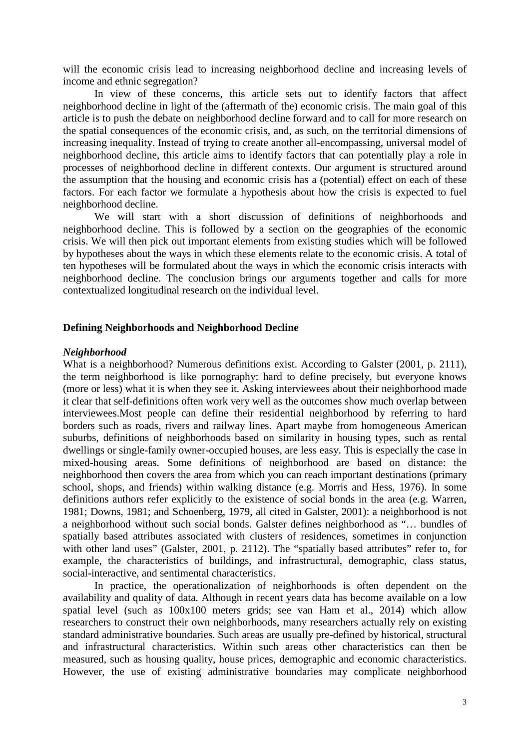will the economic crisis lead to increasing neighborhood decline and increasing levels of income and ethnic segregation?

In view of these concerns, this article sets out to identify factors that affect neighborhood decline in light of the (aftermath of the) economic crisis. The main goal of this article is to push the debate on neighborhood decline forward and to call for more research on the spatial consequences of the economic crisis, and, as such, on the territorial dimensions of increasing inequality. Instead of trying to create another all-encompassing, universal model of neighborhood decline, this article aims to identify factors that can potentially play a role in processes of neighborhood decline in different contexts. Our argument is structured around the assumption that the housing and economic crisis has a (potential) effect on each of these factors. For each factor we formulate a hypothesis about how the crisis is expected to fuel neighborhood decline.

We will start with a short discussion of definitions of neighborhoods and neighborhood decline. This is followed by a section on the geographies of the economic crisis. We will then pick out important elements from existing studies which will be followed by hypotheses about the ways in which these elements relate to the economic crisis. A total of ten hypotheses will be formulated about the ways in which the economic crisis interacts with neighborhood decline. The conclusion brings our arguments together and calls for more contextualized longitudinal research on the individual level.

#### **Defining Neighborhoods and Neighborhood Decline**

#### *Neighborhood*

What is a neighborhood? Numerous definitions exist. According to Galster (2001, p. 2111), the term neighborhood is like pornography: hard to define precisely, but everyone knows (more or less) what it is when they see it. Asking interviewees about their neighborhood made it clear that self-definitions often work very well as the outcomes show much overlap between interviewees.Most people can define their residential neighborhood by referring to hard borders such as roads, rivers and railway lines. Apart maybe from homogeneous American suburbs, definitions of neighborhoods based on similarity in housing types, such as rental dwellings or single-family owner-occupied houses, are less easy. This is especially the case in mixed-housing areas. Some definitions of neighborhood are based on distance: the neighborhood then covers the area from which you can reach important destinations (primary school, shops, and friends) within walking distance (e.g. Morris and Hess, 1976). In some definitions authors refer explicitly to the existence of social bonds in the area (e.g. Warren, 1981; Downs, 1981; and Schoenberg, 1979, all cited in Galster, 2001): a neighborhood is not a neighborhood without such social bonds. Galster defines neighborhood as "… bundles of spatially based attributes associated with clusters of residences, sometimes in conjunction with other land uses" (Galster, 2001, p. 2112). The "spatially based attributes" refer to, for example, the characteristics of buildings, and infrastructural, demographic, class status, social-interactive, and sentimental characteristics.

In practice, the operationalization of neighborhoods is often dependent on the availability and quality of data. Although in recent years data has become available on a low spatial level (such as 100x100 meters grids; see van Ham et al., 2014) which allow researchers to construct their own neighborhoods, many researchers actually rely on existing standard administrative boundaries. Such areas are usually pre-defined by historical, structural and infrastructural characteristics. Within such areas other characteristics can then be measured, such as housing quality, house prices, demographic and economic characteristics. However, the use of existing administrative boundaries may complicate neighborhood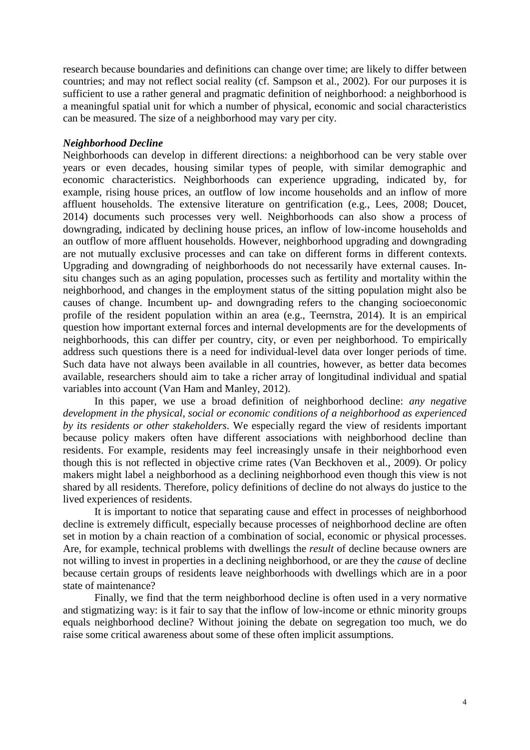research because boundaries and definitions can change over time; are likely to differ between countries; and may not reflect social reality (cf. Sampson et al., 2002). For our purposes it is sufficient to use a rather general and pragmatic definition of neighborhood: a neighborhood is a meaningful spatial unit for which a number of physical, economic and social characteristics can be measured. The size of a neighborhood may vary per city.

#### *Neighborhood Decline*

Neighborhoods can develop in different directions: a neighborhood can be very stable over years or even decades, housing similar types of people, with similar demographic and economic characteristics. Neighborhoods can experience upgrading, indicated by, for example, rising house prices, an outflow of low income households and an inflow of more affluent households. The extensive literature on gentrification (e.g., Lees, 2008; Doucet, 2014) documents such processes very well. Neighborhoods can also show a process of downgrading, indicated by declining house prices, an inflow of low-income households and an outflow of more affluent households. However, neighborhood upgrading and downgrading are not mutually exclusive processes and can take on different forms in different contexts. Upgrading and downgrading of neighborhoods do not necessarily have external causes. Insitu changes such as an aging population, processes such as fertility and mortality within the neighborhood, and changes in the employment status of the sitting population might also be causes of change. Incumbent up- and downgrading refers to the changing socioeconomic profile of the resident population within an area (e.g., Teernstra, 2014). It is an empirical question how important external forces and internal developments are for the developments of neighborhoods, this can differ per country, city, or even per neighborhood. To empirically address such questions there is a need for individual-level data over longer periods of time. Such data have not always been available in all countries, however, as better data becomes available, researchers should aim to take a richer array of longitudinal individual and spatial variables into account (Van Ham and Manley, 2012).

In this paper, we use a broad definition of neighborhood decline: *any negative development in the physical, social or economic conditions of a neighborhood as experienced by its residents or other stakeholders*. We especially regard the view of residents important because policy makers often have different associations with neighborhood decline than residents. For example, residents may feel increasingly unsafe in their neighborhood even though this is not reflected in objective crime rates (Van Beckhoven et al., 2009). Or policy makers might label a neighborhood as a declining neighborhood even though this view is not shared by all residents. Therefore, policy definitions of decline do not always do justice to the lived experiences of residents.

It is important to notice that separating cause and effect in processes of neighborhood decline is extremely difficult, especially because processes of neighborhood decline are often set in motion by a chain reaction of a combination of social, economic or physical processes. Are, for example, technical problems with dwellings the *result* of decline because owners are not willing to invest in properties in a declining neighborhood, or are they the *cause* of decline because certain groups of residents leave neighborhoods with dwellings which are in a poor state of maintenance?

Finally, we find that the term neighborhood decline is often used in a very normative and stigmatizing way: is it fair to say that the inflow of low-income or ethnic minority groups equals neighborhood decline? Without joining the debate on segregation too much, we do raise some critical awareness about some of these often implicit assumptions.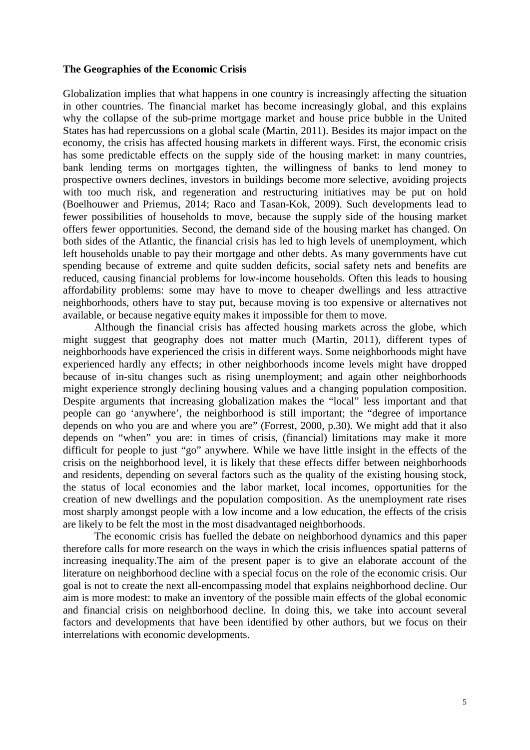#### **The Geographies of the Economic Crisis**

Globalization implies that what happens in one country is increasingly affecting the situation in other countries. The financial market has become increasingly global, and this explains why the collapse of the sub-prime mortgage market and house price bubble in the United States has had repercussions on a global scale (Martin, 2011). Besides its major impact on the economy, the crisis has affected housing markets in different ways. First, the economic crisis has some predictable effects on the supply side of the housing market: in many countries, bank lending terms on mortgages tighten, the willingness of banks to lend money to prospective owners declines, investors in buildings become more selective, avoiding projects with too much risk, and regeneration and restructuring initiatives may be put on hold (Boelhouwer and Priemus, 2014; Raco and Tasan-Kok, 2009). Such developments lead to fewer possibilities of households to move, because the supply side of the housing market offers fewer opportunities. Second, the demand side of the housing market has changed. On both sides of the Atlantic, the financial crisis has led to high levels of unemployment, which left households unable to pay their mortgage and other debts. As many governments have cut spending because of extreme and quite sudden deficits, social safety nets and benefits are reduced, causing financial problems for low-income households. Often this leads to housing affordability problems: some may have to move to cheaper dwellings and less attractive neighborhoods, others have to stay put, because moving is too expensive or alternatives not available, or because negative equity makes it impossible for them to move.

Although the financial crisis has affected housing markets across the globe, which might suggest that geography does not matter much (Martin, 2011), different types of neighborhoods have experienced the crisis in different ways. Some neighborhoods might have experienced hardly any effects; in other neighborhoods income levels might have dropped because of in-situ changes such as rising unemployment; and again other neighborhoods might experience strongly declining housing values and a changing population composition. Despite arguments that increasing globalization makes the "local" less important and that people can go 'anywhere', the neighborhood is still important; the "degree of importance depends on who you are and where you are" (Forrest, 2000, p.30). We might add that it also depends on "when" you are: in times of crisis, (financial) limitations may make it more difficult for people to just "go" anywhere. While we have little insight in the effects of the crisis on the neighborhood level, it is likely that these effects differ between neighborhoods and residents, depending on several factors such as the quality of the existing housing stock, the status of local economies and the labor market, local incomes, opportunities for the creation of new dwellings and the population composition. As the unemployment rate rises most sharply amongst people with a low income and a low education, the effects of the crisis are likely to be felt the most in the most disadvantaged neighborhoods.

The economic crisis has fuelled the debate on neighborhood dynamics and this paper therefore calls for more research on the ways in which the crisis influences spatial patterns of increasing inequality.The aim of the present paper is to give an elaborate account of the literature on neighborhood decline with a special focus on the role of the economic crisis. Our goal is not to create the next all-encompassing model that explains neighborhood decline. Our aim is more modest: to make an inventory of the possible main effects of the global economic and financial crisis on neighborhood decline. In doing this, we take into account several factors and developments that have been identified by other authors, but we focus on their interrelations with economic developments.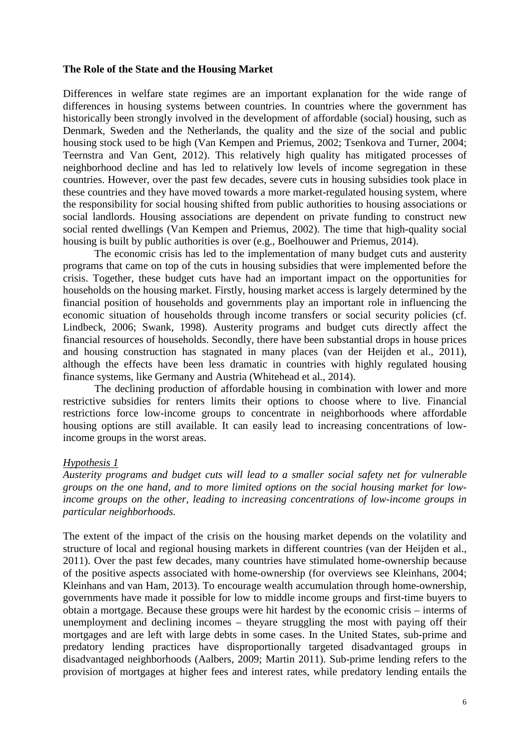#### **The Role of the State and the Housing Market**

Differences in welfare state regimes are an important explanation for the wide range of differences in housing systems between countries. In countries where the government has historically been strongly involved in the development of affordable (social) housing, such as Denmark, Sweden and the Netherlands, the quality and the size of the social and public housing stock used to be high (Van Kempen and Priemus, 2002; Tsenkova and Turner, 2004; Teernstra and Van Gent, 2012). This relatively high quality has mitigated processes of neighborhood decline and has led to relatively low levels of income segregation in these countries. However, over the past few decades, severe cuts in housing subsidies took place in these countries and they have moved towards a more market-regulated housing system, where the responsibility for social housing shifted from public authorities to housing associations or social landlords. Housing associations are dependent on private funding to construct new social rented dwellings (Van Kempen and Priemus, 2002). The time that high-quality social housing is built by public authorities is over (e.g., Boelhouwer and Priemus, 2014).

The economic crisis has led to the implementation of many budget cuts and austerity programs that came on top of the cuts in housing subsidies that were implemented before the crisis. Together, these budget cuts have had an important impact on the opportunities for households on the housing market. Firstly, housing market access is largely determined by the financial position of households and governments play an important role in influencing the economic situation of households through income transfers or social security policies (cf. Lindbeck, 2006; Swank, 1998). Austerity programs and budget cuts directly affect the financial resources of households. Secondly, there have been substantial drops in house prices and housing construction has stagnated in many places (van der Heijden et al., 2011), although the effects have been less dramatic in countries with highly regulated housing finance systems, like Germany and Austria (Whitehead et al., 2014).

The declining production of affordable housing in combination with lower and more restrictive subsidies for renters limits their options to choose where to live. Financial restrictions force low-income groups to concentrate in neighborhoods where affordable housing options are still available. It can easily lead to increasing concentrations of lowincome groups in the worst areas.

#### *Hypothesis 1*

*Austerity programs and budget cuts will lead to a smaller social safety net for vulnerable groups on the one hand, and to more limited options on the social housing market for lowincome groups on the other, leading to increasing concentrations of low-income groups in particular neighborhoods.*

The extent of the impact of the crisis on the housing market depends on the volatility and structure of local and regional housing markets in different countries (van der Heijden et al., 2011). Over the past few decades, many countries have stimulated home-ownership because of the positive aspects associated with home-ownership (for overviews see Kleinhans, 2004; Kleinhans and van Ham, 2013). To encourage wealth accumulation through home-ownership, governments have made it possible for low to middle income groups and first-time buyers to obtain a mortgage. Because these groups were hit hardest by the economic crisis – interms of unemployment and declining incomes – theyare struggling the most with paying off their mortgages and are left with large debts in some cases. In the United States, sub-prime and predatory lending practices have disproportionally targeted disadvantaged groups in disadvantaged neighborhoods (Aalbers, 2009; Martin 2011). Sub-prime lending refers to the provision of mortgages at higher fees and interest rates, while predatory lending entails the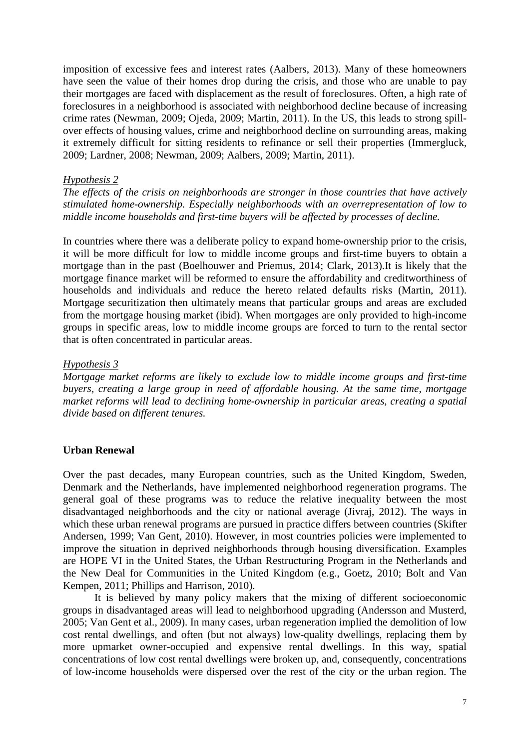imposition of excessive fees and interest rates (Aalbers, 2013). Many of these homeowners have seen the value of their homes drop during the crisis, and those who are unable to pay their mortgages are faced with displacement as the result of foreclosures. Often, a high rate of foreclosures in a neighborhood is associated with neighborhood decline because of increasing crime rates (Newman, 2009; Ojeda, 2009; Martin, 2011). In the US, this leads to strong spillover effects of housing values, crime and neighborhood decline on surrounding areas, making it extremely difficult for sitting residents to refinance or sell their properties (Immergluck, 2009; Lardner, 2008; Newman, 2009; Aalbers, 2009; Martin, 2011).

#### *Hypothesis 2*

*The effects of the crisis on neighborhoods are stronger in those countries that have actively stimulated home-ownership. Especially neighborhoods with an overrepresentation of low to middle income households and first-time buyers will be affected by processes of decline.*

In countries where there was a deliberate policy to expand home-ownership prior to the crisis, it will be more difficult for low to middle income groups and first-time buyers to obtain a mortgage than in the past (Boelhouwer and Priemus, 2014; Clark, 2013).It is likely that the mortgage finance market will be reformed to ensure the affordability and creditworthiness of households and individuals and reduce the hereto related defaults risks (Martin, 2011). Mortgage securitization then ultimately means that particular groups and areas are excluded from the mortgage housing market (ibid). When mortgages are only provided to high-income groups in specific areas, low to middle income groups are forced to turn to the rental sector that is often concentrated in particular areas.

#### *Hypothesis 3*

*Mortgage market reforms are likely to exclude low to middle income groups and first-time buyers, creating a large group in need of affordable housing. At the same time, mortgage market reforms will lead to declining home-ownership in particular areas, creating a spatial divide based on different tenures.* 

#### **Urban Renewal**

Over the past decades, many European countries, such as the United Kingdom, Sweden, Denmark and the Netherlands, have implemented neighborhood regeneration programs. The general goal of these programs was to reduce the relative inequality between the most disadvantaged neighborhoods and the city or national average (Jivraj, 2012). The ways in which these urban renewal programs are pursued in practice differs between countries (Skifter Andersen, 1999; Van Gent, 2010). However, in most countries policies were implemented to improve the situation in deprived neighborhoods through housing diversification. Examples are HOPE VI in the United States, the Urban Restructuring Program in the Netherlands and the New Deal for Communities in the United Kingdom (e.g., Goetz, 2010; Bolt and Van Kempen, 2011; Phillips and Harrison, 2010).

It is believed by many policy makers that the mixing of different socioeconomic groups in disadvantaged areas will lead to neighborhood upgrading (Andersson and Musterd, 2005; Van Gent et al., 2009). In many cases, urban regeneration implied the demolition of low cost rental dwellings, and often (but not always) low-quality dwellings, replacing them by more upmarket owner-occupied and expensive rental dwellings. In this way, spatial concentrations of low cost rental dwellings were broken up, and, consequently, concentrations of low-income households were dispersed over the rest of the city or the urban region. The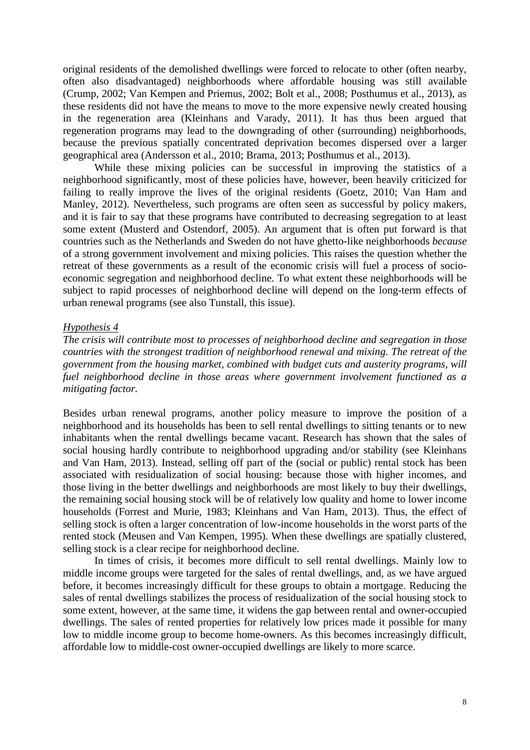original residents of the demolished dwellings were forced to relocate to other (often nearby, often also disadvantaged) neighborhoods where affordable housing was still available (Crump, 2002; Van Kempen and Priemus, 2002; Bolt et al., 2008; Posthumus et al., 2013), as these residents did not have the means to move to the more expensive newly created housing in the regeneration area (Kleinhans and Varady, 2011). It has thus been argued that regeneration programs may lead to the downgrading of other (surrounding) neighborhoods, because the previous spatially concentrated deprivation becomes dispersed over a larger geographical area (Andersson et al., 2010; Brama, 2013; Posthumus et al., 2013).

While these mixing policies can be successful in improving the statistics of a neighborhood significantly, most of these policies have, however, been heavily criticized for failing to really improve the lives of the original residents (Goetz, 2010; Van Ham and Manley, 2012). Nevertheless, such programs are often seen as successful by policy makers, and it is fair to say that these programs have contributed to decreasing segregation to at least some extent (Musterd and Ostendorf, 2005). An argument that is often put forward is that countries such as the Netherlands and Sweden do not have ghetto-like neighborhoods *because*  of a strong government involvement and mixing policies. This raises the question whether the retreat of these governments as a result of the economic crisis will fuel a process of socioeconomic segregation and neighborhood decline. To what extent these neighborhoods will be subject to rapid processes of neighborhood decline will depend on the long-term effects of urban renewal programs (see also Tunstall, this issue).

#### *Hypothesis 4*

*The crisis will contribute most to processes of neighborhood decline and segregation in those countries with the strongest tradition of neighborhood renewal and mixing. The retreat of the government from the housing market, combined with budget cuts and austerity programs, will fuel neighborhood decline in those areas where government involvement functioned as a mitigating factor.* 

Besides urban renewal programs, another policy measure to improve the position of a neighborhood and its households has been to sell rental dwellings to sitting tenants or to new inhabitants when the rental dwellings became vacant. Research has shown that the sales of social housing hardly contribute to neighborhood upgrading and/or stability (see Kleinhans and Van Ham, 2013). Instead, selling off part of the (social or public) rental stock has been associated with residualization of social housing: because those with higher incomes, and those living in the better dwellings and neighborhoods are most likely to buy their dwellings, the remaining social housing stock will be of relatively low quality and home to lower income households (Forrest and Murie, 1983; Kleinhans and Van Ham, 2013). Thus, the effect of selling stock is often a larger concentration of low-income households in the worst parts of the rented stock (Meusen and Van Kempen, 1995). When these dwellings are spatially clustered, selling stock is a clear recipe for neighborhood decline.

In times of crisis, it becomes more difficult to sell rental dwellings. Mainly low to middle income groups were targeted for the sales of rental dwellings, and, as we have argued before, it becomes increasingly difficult for these groups to obtain a mortgage. Reducing the sales of rental dwellings stabilizes the process of residualization of the social housing stock to some extent, however, at the same time, it widens the gap between rental and owner-occupied dwellings. The sales of rented properties for relatively low prices made it possible for many low to middle income group to become home-owners. As this becomes increasingly difficult, affordable low to middle-cost owner-occupied dwellings are likely to more scarce.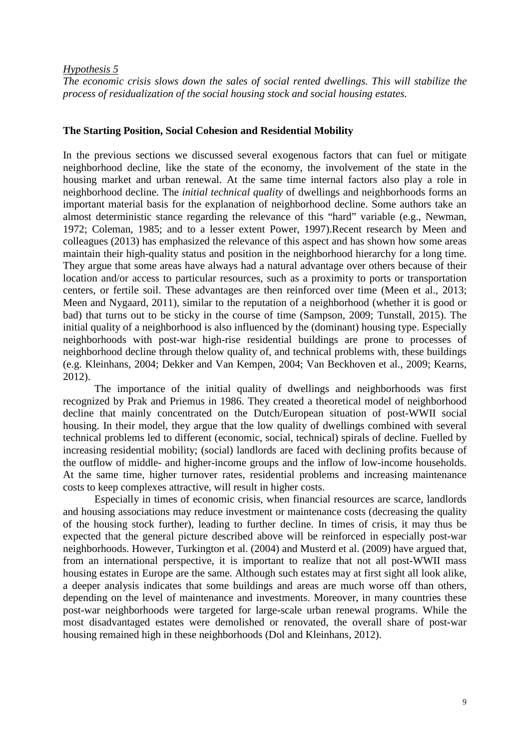*Hypothesis 5*

*The economic crisis slows down the sales of social rented dwellings. This will stabilize the process of residualization of the social housing stock and social housing estates.*

#### **The Starting Position, Social Cohesion and Residential Mobility**

In the previous sections we discussed several exogenous factors that can fuel or mitigate neighborhood decline, like the state of the economy, the involvement of the state in the housing market and urban renewal. At the same time internal factors also play a role in neighborhood decline. The *initial technical quality* of dwellings and neighborhoods forms an important material basis for the explanation of neighborhood decline. Some authors take an almost deterministic stance regarding the relevance of this "hard" variable (e.g., Newman, 1972; Coleman, 1985; and to a lesser extent Power, 1997).Recent research by Meen and colleagues (2013) has emphasized the relevance of this aspect and has shown how some areas maintain their high-quality status and position in the neighborhood hierarchy for a long time. They argue that some areas have always had a natural advantage over others because of their location and/or access to particular resources, such as a proximity to ports or transportation centers, or fertile soil. These advantages are then reinforced over time (Meen et al., 2013; Meen and Nygaard, 2011), similar to the reputation of a neighborhood (whether it is good or bad) that turns out to be sticky in the course of time (Sampson, 2009; Tunstall, 2015). The initial quality of a neighborhood is also influenced by the (dominant) housing type. Especially neighborhoods with post-war high-rise residential buildings are prone to processes of neighborhood decline through thelow quality of, and technical problems with, these buildings (e.g. Kleinhans, 2004; Dekker and Van Kempen, 2004; Van Beckhoven et al., 2009; Kearns, 2012).

The importance of the initial quality of dwellings and neighborhoods was first recognized by Prak and Priemus in 1986. They created a theoretical model of neighborhood decline that mainly concentrated on the Dutch/European situation of post-WWII social housing. In their model, they argue that the low quality of dwellings combined with several technical problems led to different (economic, social, technical) spirals of decline. Fuelled by increasing residential mobility; (social) landlords are faced with declining profits because of the outflow of middle- and higher-income groups and the inflow of low-income households. At the same time, higher turnover rates, residential problems and increasing maintenance costs to keep complexes attractive, will result in higher costs.

Especially in times of economic crisis, when financial resources are scarce, landlords and housing associations may reduce investment or maintenance costs (decreasing the quality of the housing stock further), leading to further decline. In times of crisis, it may thus be expected that the general picture described above will be reinforced in especially post-war neighborhoods. However, Turkington et al. (2004) and Musterd et al. (2009) have argued that, from an international perspective, it is important to realize that not all post-WWII mass housing estates in Europe are the same. Although such estates may at first sight all look alike, a deeper analysis indicates that some buildings and areas are much worse off than others, depending on the level of maintenance and investments. Moreover, in many countries these post-war neighborhoods were targeted for large-scale urban renewal programs. While the most disadvantaged estates were demolished or renovated, the overall share of post-war housing remained high in these neighborhoods (Dol and Kleinhans, 2012).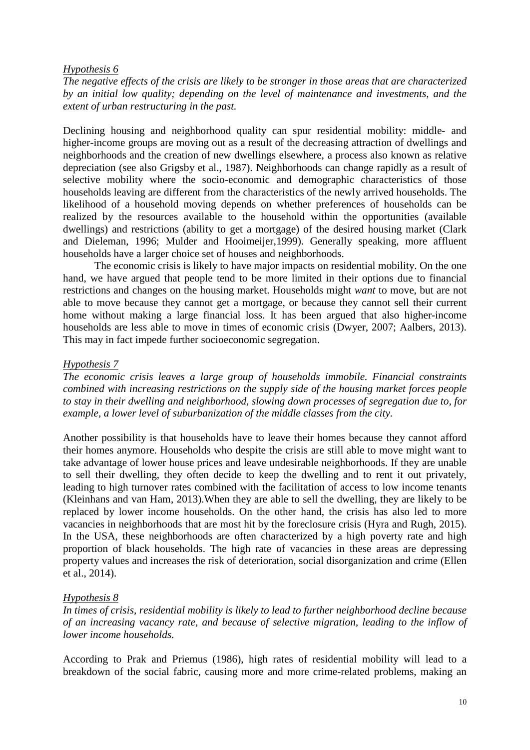#### *Hypothesis 6*

*The negative effects of the crisis are likely to be stronger in those areas that are characterized by an initial low quality; depending on the level of maintenance and investments, and the extent of urban restructuring in the past.* 

Declining housing and neighborhood quality can spur residential mobility: middle- and higher-income groups are moving out as a result of the decreasing attraction of dwellings and neighborhoods and the creation of new dwellings elsewhere, a process also known as relative depreciation (see also Grigsby et al., 1987). Neighborhoods can change rapidly as a result of selective mobility where the socio-economic and demographic characteristics of those households leaving are different from the characteristics of the newly arrived households. The likelihood of a household moving depends on whether preferences of households can be realized by the resources available to the household within the opportunities (available dwellings) and restrictions (ability to get a mortgage) of the desired housing market (Clark and Dieleman, 1996; Mulder and Hooimeijer,1999). Generally speaking, more affluent households have a larger choice set of houses and neighborhoods.

The economic crisis is likely to have major impacts on residential mobility. On the one hand, we have argued that people tend to be more limited in their options due to financial restrictions and changes on the housing market. Households might *want* to move, but are not able to move because they cannot get a mortgage, or because they cannot sell their current home without making a large financial loss. It has been argued that also higher-income households are less able to move in times of economic crisis (Dwyer, 2007; Aalbers, 2013). This may in fact impede further socioeconomic segregation.

#### *Hypothesis 7*

*The economic crisis leaves a large group of households immobile. Financial constraints combined with increasing restrictions on the supply side of the housing market forces people to stay in their dwelling and neighborhood, slowing down processes of segregation due to, for example, a lower level of suburbanization of the middle classes from the city.*

Another possibility is that households have to leave their homes because they cannot afford their homes anymore. Households who despite the crisis are still able to move might want to take advantage of lower house prices and leave undesirable neighborhoods. If they are unable to sell their dwelling, they often decide to keep the dwelling and to rent it out privately, leading to high turnover rates combined with the facilitation of access to low income tenants (Kleinhans and van Ham, 2013).When they are able to sell the dwelling, they are likely to be replaced by lower income households. On the other hand, the crisis has also led to more vacancies in neighborhoods that are most hit by the foreclosure crisis (Hyra and Rugh, 2015). In the USA, these neighborhoods are often characterized by a high poverty rate and high proportion of black households. The high rate of vacancies in these areas are depressing property values and increases the risk of deterioration, social disorganization and crime (Ellen et al., 2014).

#### *Hypothesis 8*

*In times of crisis, residential mobility is likely to lead to further neighborhood decline because of an increasing vacancy rate, and because of selective migration, leading to the inflow of lower income households.* 

According to Prak and Priemus (1986), high rates of residential mobility will lead to a breakdown of the social fabric, causing more and more crime-related problems, making an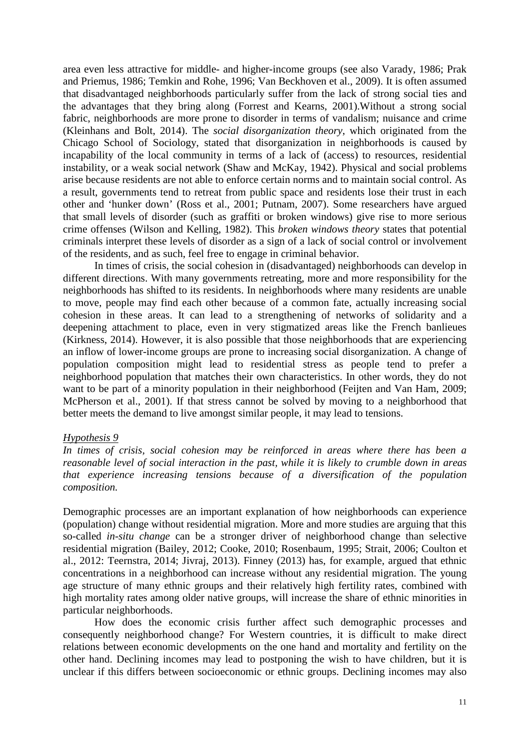area even less attractive for middle- and higher-income groups (see also Varady, 1986; Prak and Priemus, 1986; Temkin and Rohe, 1996; Van Beckhoven et al., 2009). It is often assumed that disadvantaged neighborhoods particularly suffer from the lack of strong social ties and the advantages that they bring along (Forrest and Kearns, 2001).Without a strong social fabric, neighborhoods are more prone to disorder in terms of vandalism; nuisance and crime (Kleinhans and Bolt, 2014). The *social disorganization theory*, which originated from the Chicago School of Sociology, stated that disorganization in neighborhoods is caused by incapability of the local community in terms of a lack of (access) to resources, residential instability, or a weak social network (Shaw and McKay, 1942). Physical and social problems arise because residents are not able to enforce certain norms and to maintain social control. As a result, governments tend to retreat from public space and residents lose their trust in each other and 'hunker down' (Ross et al., 2001; Putnam, 2007). Some researchers have argued that small levels of disorder (such as graffiti or broken windows) give rise to more serious crime offenses (Wilson and Kelling, 1982). This *broken windows theory* states that potential criminals interpret these levels of disorder as a sign of a lack of social control or involvement of the residents, and as such, feel free to engage in criminal behavior.

In times of crisis, the social cohesion in (disadvantaged) neighborhoods can develop in different directions. With many governments retreating, more and more responsibility for the neighborhoods has shifted to its residents. In neighborhoods where many residents are unable to move, people may find each other because of a common fate, actually increasing social cohesion in these areas. It can lead to a strengthening of networks of solidarity and a deepening attachment to place, even in very stigmatized areas like the French banlieues (Kirkness, 2014). However, it is also possible that those neighborhoods that are experiencing an inflow of lower-income groups are prone to increasing social disorganization. A change of population composition might lead to residential stress as people tend to prefer a neighborhood population that matches their own characteristics. In other words, they do not want to be part of a minority population in their neighborhood (Feijten and Van Ham, 2009; McPherson et al., 2001). If that stress cannot be solved by moving to a neighborhood that better meets the demand to live amongst similar people, it may lead to tensions.

#### *Hypothesis 9*

*In times of crisis, social cohesion may be reinforced in areas where there has been a reasonable level of social interaction in the past, while it is likely to crumble down in areas that experience increasing tensions because of a diversification of the population composition.*

Demographic processes are an important explanation of how neighborhoods can experience (population) change without residential migration. More and more studies are arguing that this so-called *in-situ change* can be a stronger driver of neighborhood change than selective residential migration (Bailey, 2012; Cooke, 2010; Rosenbaum, 1995; Strait, 2006; Coulton et al., 2012: Teernstra, 2014; Jivraj, 2013). Finney (2013) has, for example, argued that ethnic concentrations in a neighborhood can increase without any residential migration. The young age structure of many ethnic groups and their relatively high fertility rates, combined with high mortality rates among older native groups, will increase the share of ethnic minorities in particular neighborhoods.

How does the economic crisis further affect such demographic processes and consequently neighborhood change? For Western countries, it is difficult to make direct relations between economic developments on the one hand and mortality and fertility on the other hand. Declining incomes may lead to postponing the wish to have children, but it is unclear if this differs between socioeconomic or ethnic groups. Declining incomes may also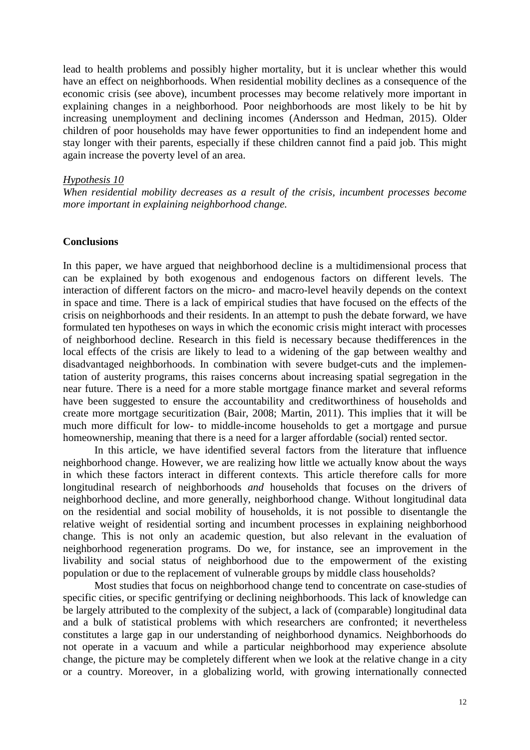lead to health problems and possibly higher mortality, but it is unclear whether this would have an effect on neighborhoods. When residential mobility declines as a consequence of the economic crisis (see above), incumbent processes may become relatively more important in explaining changes in a neighborhood. Poor neighborhoods are most likely to be hit by increasing unemployment and declining incomes (Andersson and Hedman, 2015). Older children of poor households may have fewer opportunities to find an independent home and stay longer with their parents, especially if these children cannot find a paid job. This might again increase the poverty level of an area.

#### *Hypothesis 10*

*When residential mobility decreases as a result of the crisis, incumbent processes become more important in explaining neighborhood change.* 

#### **Conclusions**

In this paper, we have argued that neighborhood decline is a multidimensional process that can be explained by both exogenous and endogenous factors on different levels. The interaction of different factors on the micro- and macro-level heavily depends on the context in space and time. There is a lack of empirical studies that have focused on the effects of the crisis on neighborhoods and their residents. In an attempt to push the debate forward, we have formulated ten hypotheses on ways in which the economic crisis might interact with processes of neighborhood decline. Research in this field is necessary because thedifferences in the local effects of the crisis are likely to lead to a widening of the gap between wealthy and disadvantaged neighborhoods. In combination with severe budget-cuts and the implementation of austerity programs, this raises concerns about increasing spatial segregation in the near future. There is a need for a more stable mortgage finance market and several reforms have been suggested to ensure the accountability and creditworthiness of households and create more mortgage securitization (Bair, 2008; Martin, 2011). This implies that it will be much more difficult for low- to middle-income households to get a mortgage and pursue homeownership, meaning that there is a need for a larger affordable (social) rented sector.

In this article, we have identified several factors from the literature that influence neighborhood change. However, we are realizing how little we actually know about the ways in which these factors interact in different contexts. This article therefore calls for more longitudinal research of neighborhoods *and* households that focuses on the drivers of neighborhood decline, and more generally, neighborhood change. Without longitudinal data on the residential and social mobility of households, it is not possible to disentangle the relative weight of residential sorting and incumbent processes in explaining neighborhood change. This is not only an academic question, but also relevant in the evaluation of neighborhood regeneration programs. Do we, for instance, see an improvement in the livability and social status of neighborhood due to the empowerment of the existing population or due to the replacement of vulnerable groups by middle class households?

Most studies that focus on neighborhood change tend to concentrate on case-studies of specific cities, or specific gentrifying or declining neighborhoods. This lack of knowledge can be largely attributed to the complexity of the subject, a lack of (comparable) longitudinal data and a bulk of statistical problems with which researchers are confronted; it nevertheless constitutes a large gap in our understanding of neighborhood dynamics. Neighborhoods do not operate in a vacuum and while a particular neighborhood may experience absolute change, the picture may be completely different when we look at the relative change in a city or a country. Moreover, in a globalizing world, with growing internationally connected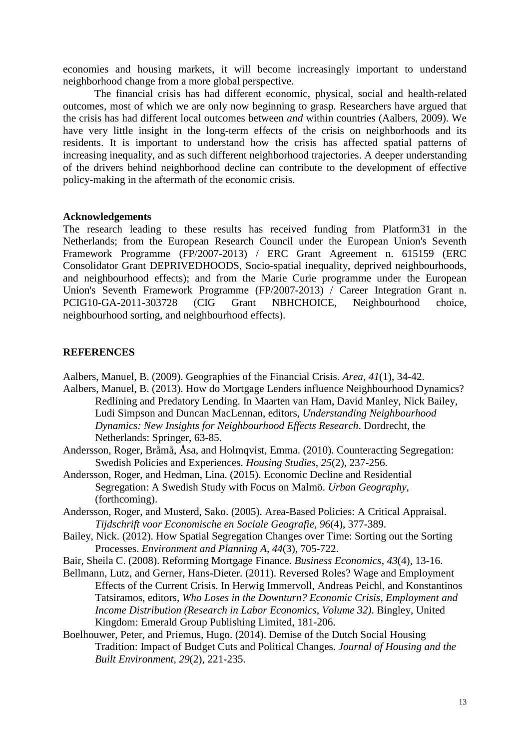economies and housing markets, it will become increasingly important to understand neighborhood change from a more global perspective.

The financial crisis has had different economic, physical, social and health-related outcomes, most of which we are only now beginning to grasp. Researchers have argued that the crisis has had different local outcomes between *and* within countries (Aalbers, 2009). We have very little insight in the long-term effects of the crisis on neighborhoods and its residents. It is important to understand how the crisis has affected spatial patterns of increasing inequality, and as such different neighborhood trajectories. A deeper understanding of the drivers behind neighborhood decline can contribute to the development of effective policy-making in the aftermath of the economic crisis.

#### **Acknowledgements**

The research leading to these results has received funding from Platform31 in the Netherlands; from the European Research Council under the European Union's Seventh Framework Programme (FP/2007-2013) / ERC Grant Agreement n. 615159 (ERC Consolidator Grant DEPRIVEDHOODS, Socio-spatial inequality, deprived neighbourhoods, and neighbourhood effects); and from the Marie Curie programme under the European Union's Seventh Framework Programme (FP/2007-2013) / Career Integration Grant n. PCIG10-GA-2011-303728 (CIG Grant NBHCHOICE, Neighbourhood choice, neighbourhood sorting, and neighbourhood effects).

#### **REFERENCES**

Aalbers, Manuel, B. (2009). Geographies of the Financial Crisis. *Area, 41*(1), 34-42.

- Aalbers, Manuel, B. (2013). How do Mortgage Lenders influence Neighbourhood Dynamics? Redlining and Predatory Lending. In Maarten van Ham, David Manley, Nick Bailey, Ludi Simpson and Duncan MacLennan, editors, *Understanding Neighbourhood Dynamics: New Insights for Neighbourhood Effects Research*. Dordrecht, the Netherlands: Springer, 63-85.
- Andersson, Roger, Bråmå, Åsa, and Holmqvist, Emma. (2010). Counteracting Segregation: Swedish Policies and Experiences. *Housing Studies, 25*(2), 237-256.
- Andersson, Roger, and Hedman, Lina. (2015). Economic Decline and Residential Segregation: A Swedish Study with Focus on Malmö. *Urban Geography*, (forthcoming).
- Andersson, Roger, and Musterd, Sako. (2005). Area-Based Policies: A Critical Appraisal. *Tijdschrift voor Economische en Sociale Geografie, 96*(4), 377-389.
- Bailey, Nick. (2012). How Spatial Segregation Changes over Time: Sorting out the Sorting Processes. *Environment and Planning A, 44*(3), 705-722.
- Bair, Sheila C. (2008). Reforming Mortgage Finance. *Business Economics, 43*(4), 13-16.
- Bellmann, Lutz, and Gerner, Hans-Dieter. (2011). Reversed Roles? Wage and Employment Effects of the Current Crisis. In Herwig Immervoll, Andreas Peichl, and Konstantinos Tatsiramos, editors, *Who Loses in the Downturn? Economic Crisis, Employment and Income Distribution (Research in Labor Economics, Volume 32)*. Bingley, United Kingdom: Emerald Group Publishing Limited, 181-206.
- Boelhouwer, Peter, and Priemus, Hugo. (2014). Demise of the Dutch Social Housing Tradition: Impact of Budget Cuts and Political Changes. *Journal of Housing and the Built Environment, 29*(2), 221-235.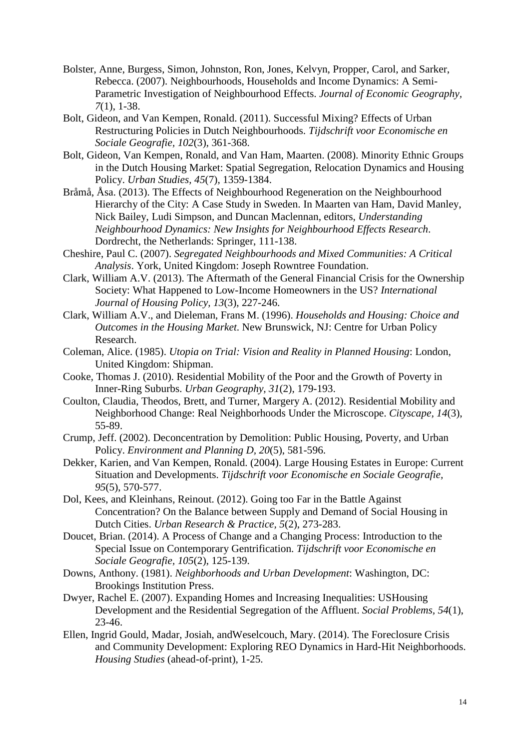- Bolster, Anne, Burgess, Simon, Johnston, Ron, Jones, Kelvyn, Propper, Carol, and Sarker, Rebecca. (2007). Neighbourhoods, Households and Income Dynamics: A Semi-Parametric Investigation of Neighbourhood Effects. *Journal of Economic Geography, 7*(1), 1-38.
- Bolt, Gideon, and Van Kempen, Ronald. (2011). Successful Mixing? Effects of Urban Restructuring Policies in Dutch Neighbourhoods. *Tijdschrift voor Economische en Sociale Geografie, 102*(3), 361-368.
- Bolt, Gideon, Van Kempen, Ronald, and Van Ham, Maarten. (2008). Minority Ethnic Groups in the Dutch Housing Market: Spatial Segregation, Relocation Dynamics and Housing Policy. *Urban Studies, 45*(7), 1359-1384.
- Bråmå, Åsa. (2013). The Effects of Neighbourhood Regeneration on the Neighbourhood Hierarchy of the City: A Case Study in Sweden. In Maarten van Ham, David Manley, Nick Bailey, Ludi Simpson, and Duncan Maclennan, editors, *Understanding Neighbourhood Dynamics: New Insights for Neighbourhood Effects Research*. Dordrecht, the Netherlands: Springer, 111-138.
- Cheshire, Paul C. (2007). *Segregated Neighbourhoods and Mixed Communities: A Critical Analysis*. York, United Kingdom: Joseph Rowntree Foundation.
- Clark, William A.V. (2013). The Aftermath of the General Financial Crisis for the Ownership Society: What Happened to Low-Income Homeowners in the US? *International Journal of Housing Policy, 13*(3), 227-246.
- Clark, William A.V., and Dieleman, Frans M. (1996). *Households and Housing: Choice and Outcomes in the Housing Market*. New Brunswick, NJ: Centre for Urban Policy Research.
- Coleman, Alice. (1985). *Utopia on Trial: Vision and Reality in Planned Housing*: London, United Kingdom: Shipman.
- Cooke, Thomas J. (2010). Residential Mobility of the Poor and the Growth of Poverty in Inner-Ring Suburbs. *Urban Geography, 31*(2), 179-193.
- Coulton, Claudia, Theodos, Brett, and Turner, Margery A. (2012). Residential Mobility and Neighborhood Change: Real Neighborhoods Under the Microscope. *Cityscape, 14*(3), 55-89.
- Crump, Jeff. (2002). Deconcentration by Demolition: Public Housing, Poverty, and Urban Policy. *Environment and Planning D, 20*(5), 581-596.
- Dekker, Karien, and Van Kempen, Ronald. (2004). Large Housing Estates in Europe: Current Situation and Developments. *Tijdschrift voor Economische en Sociale Geografie, 95*(5), 570-577.
- Dol, Kees, and Kleinhans, Reinout. (2012). Going too Far in the Battle Against Concentration? On the Balance between Supply and Demand of Social Housing in Dutch Cities. *Urban Research & Practice, 5*(2), 273-283.
- Doucet, Brian. (2014). A Process of Change and a Changing Process: Introduction to the Special Issue on Contemporary Gentrification. *Tijdschrift voor Economische en Sociale Geografie, 105*(2), 125-139.
- Downs, Anthony. (1981). *Neighborhoods and Urban Development*: Washington, DC: Brookings Institution Press.
- Dwyer, Rachel E. (2007). Expanding Homes and Increasing Inequalities: USHousing Development and the Residential Segregation of the Affluent. *Social Problems, 54*(1), 23-46.
- Ellen, Ingrid Gould, Madar, Josiah, andWeselcouch, Mary. (2014). The Foreclosure Crisis and Community Development: Exploring REO Dynamics in Hard-Hit Neighborhoods. *Housing Studies* (ahead-of-print), 1-25.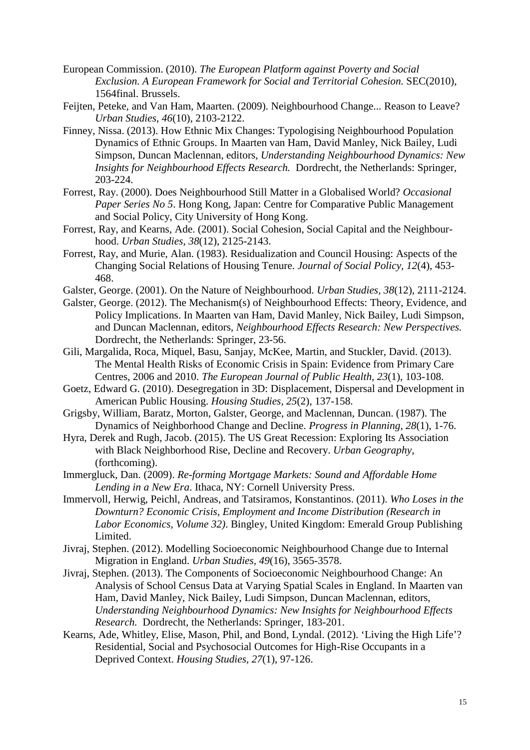- European Commission. (2010). *The European Platform against Poverty and Social Exclusion. A European Framework for Social and Territorial Cohesion.* SEC(2010), 1564final. Brussels.
- Feijten, Peteke, and Van Ham, Maarten. (2009). Neighbourhood Change... Reason to Leave? *Urban Studies, 46*(10), 2103-2122.
- Finney, Nissa. (2013). How Ethnic Mix Changes: Typologising Neighbourhood Population Dynamics of Ethnic Groups. In Maarten van Ham, David Manley, Nick Bailey, Ludi Simpson, Duncan Maclennan, editors, *Understanding Neighbourhood Dynamics: New Insights for Neighbourhood Effects Research.* Dordrecht, the Netherlands: Springer, 203-224.
- Forrest, Ray. (2000). Does Neighbourhood Still Matter in a Globalised World? *Occasional Paper Series No 5*. Hong Kong, Japan: Centre for Comparative Public Management and Social Policy, City University of Hong Kong.
- Forrest, Ray, and Kearns, Ade. (2001). Social Cohesion, Social Capital and the Neighbourhood. *Urban Studies, 38*(12), 2125-2143.
- Forrest, Ray, and Murie, Alan. (1983). Residualization and Council Housing: Aspects of the Changing Social Relations of Housing Tenure. *Journal of Social Policy, 12*(4), 453- 468.
- Galster, George. (2001). On the Nature of Neighbourhood. *Urban Studies, 38*(12), 2111-2124.
- Galster, George. (2012). The Mechanism(s) of Neighbourhood Effects: Theory, Evidence, and Policy Implications. In Maarten van Ham, David Manley, Nick Bailey, Ludi Simpson, and Duncan Maclennan, editors, *Neighbourhood Effects Research: New Perspectives.*  Dordrecht, the Netherlands: Springer, 23-56.
- Gili, Margalida, Roca, Miquel, Basu, Sanjay, McKee, Martin, and Stuckler, David. (2013). The Mental Health Risks of Economic Crisis in Spain: Evidence from Primary Care Centres, 2006 and 2010. *The European Journal of Public Health, 23*(1), 103-108.
- Goetz, Edward G. (2010). Desegregation in 3D: Displacement, Dispersal and Development in American Public Housing. *Housing Studies, 25*(2), 137-158.
- Grigsby, William, Baratz, Morton, Galster, George, and Maclennan, Duncan. (1987). The Dynamics of Neighborhood Change and Decline. *Progress in Planning, 28*(1), 1-76.
- Hyra, Derek and Rugh, Jacob. (2015). The US Great Recession: Exploring Its Association with Black Neighborhood Rise, Decline and Recovery. *Urban Geography*, (forthcoming).
- Immergluck, Dan. (2009). *Re-forming Mortgage Markets: Sound and Affordable Home Lending in a New Era*. Ithaca, NY: Cornell University Press.
- Immervoll, Herwig, Peichl, Andreas, and Tatsiramos, Konstantinos. (2011). *Who Loses in the Downturn? Economic Crisis, Employment and Income Distribution (Research in Labor Economics, Volume 32)*. Bingley, United Kingdom: Emerald Group Publishing Limited.
- Jivraj, Stephen. (2012). Modelling Socioeconomic Neighbourhood Change due to Internal Migration in England. *Urban Studies, 49*(16), 3565-3578.
- Jivraj, Stephen. (2013). The Components of Socioeconomic Neighbourhood Change: An Analysis of School Census Data at Varying Spatial Scales in England. In Maarten van Ham, David Manley, Nick Bailey, Ludi Simpson, Duncan Maclennan, editors, *Understanding Neighbourhood Dynamics: New Insights for Neighbourhood Effects Research.* Dordrecht, the Netherlands: Springer, 183-201.
- Kearns, Ade, Whitley, Elise, Mason, Phil, and Bond, Lyndal. (2012). 'Living the High Life'? Residential, Social and Psychosocial Outcomes for High-Rise Occupants in a Deprived Context. *Housing Studies, 27*(1), 97-126.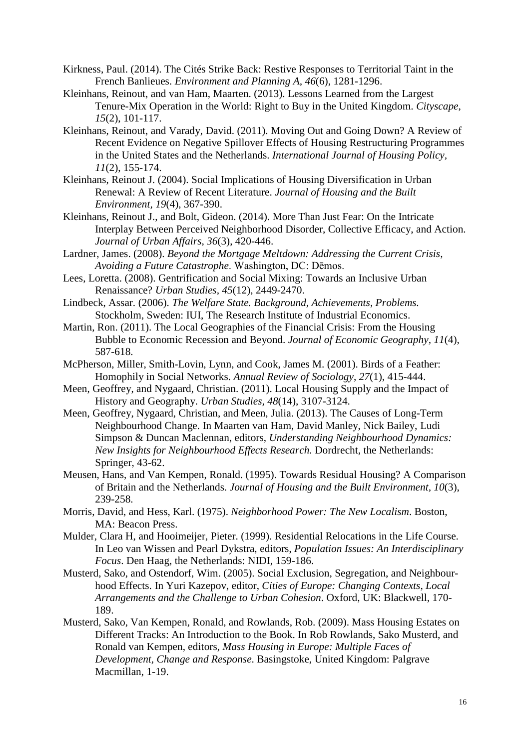- Kirkness, Paul. (2014). The Cités Strike Back: Restive Responses to Territorial Taint in the French Banlieues. *Environment and Planning A, 46*(6), 1281-1296.
- Kleinhans, Reinout, and van Ham, Maarten. (2013). Lessons Learned from the Largest Tenure-Mix Operation in the World: Right to Buy in the United Kingdom. *Cityscape*, *15*(2), 101-117.
- Kleinhans, Reinout, and Varady, David. (2011). Moving Out and Going Down? A Review of Recent Evidence on Negative Spillover Effects of Housing Restructuring Programmes in the United States and the Netherlands. *International Journal of Housing Policy, 11*(2), 155-174.
- Kleinhans, Reinout J. (2004). Social Implications of Housing Diversification in Urban Renewal: A Review of Recent Literature. *Journal of Housing and the Built Environment, 19*(4), 367-390.
- Kleinhans, Reinout J., and Bolt, Gideon. (2014). More Than Just Fear: On the Intricate Interplay Between Perceived Neighborhood Disorder, Collective Efficacy, and Action. *Journal of Urban Affairs, 36*(3), 420-446.
- Lardner, James. (2008). *Beyond the Mortgage Meltdown: Addressing the Current Crisis, Avoiding a Future Catastrophe*. Washington, DC: Dēmos.
- Lees, Loretta. (2008). Gentrification and Social Mixing: Towards an Inclusive Urban Renaissance? *Urban Studies, 45*(12), 2449-2470.
- Lindbeck, Assar. (2006). *The Welfare State. Background, Achievements, Problems.* Stockholm, Sweden: IUI, The Research Institute of Industrial Economics.
- Martin, Ron. (2011). The Local Geographies of the Financial Crisis: From the Housing Bubble to Economic Recession and Beyond. *Journal of Economic Geography, 11*(4), 587-618.
- McPherson, Miller, Smith-Lovin, Lynn, and Cook, James M. (2001). Birds of a Feather: Homophily in Social Networks. *Annual Review of Sociology*, *27*(1), 415-444.
- Meen, Geoffrey, and Nygaard, Christian. (2011). Local Housing Supply and the Impact of History and Geography. *Urban Studies, 48*(14), 3107-3124.
- Meen, Geoffrey, Nygaard, Christian, and Meen, Julia. (2013). The Causes of Long-Term Neighbourhood Change. In Maarten van Ham, David Manley, Nick Bailey, Ludi Simpson & Duncan Maclennan, editors, *Understanding Neighbourhood Dynamics: New Insights for Neighbourhood Effects Research.* Dordrecht, the Netherlands: Springer, 43-62.
- Meusen, Hans, and Van Kempen, Ronald. (1995). Towards Residual Housing? A Comparison of Britain and the Netherlands. *Journal of Housing and the Built Environment, 10*(3), 239-258.
- Morris, David, and Hess, Karl. (1975). *Neighborhood Power: The New Localism*. Boston, MA: Beacon Press.
- Mulder, Clara H, and Hooimeijer, Pieter. (1999). Residential Relocations in the Life Course. In Leo van Wissen and Pearl Dykstra, editors, *Population Issues: An Interdisciplinary Focus*. Den Haag, the Netherlands: NIDI, 159-186.
- Musterd, Sako, and Ostendorf, Wim. (2005). Social Exclusion, Segregation, and Neighbourhood Effects. In Yuri Kazepov, editor, *Cities of Europe: Changing Contexts, Local Arrangements and the Challenge to Urban Cohesion*. Oxford, UK: Blackwell, 170- 189.
- Musterd, Sako, Van Kempen, Ronald, and Rowlands, Rob. (2009). Mass Housing Estates on Different Tracks: An Introduction to the Book. In Rob Rowlands, Sako Musterd, and Ronald van Kempen, editors, *Mass Housing in Europe: Multiple Faces of Development, Change and Response*. Basingstoke, United Kingdom: Palgrave Macmillan, 1-19.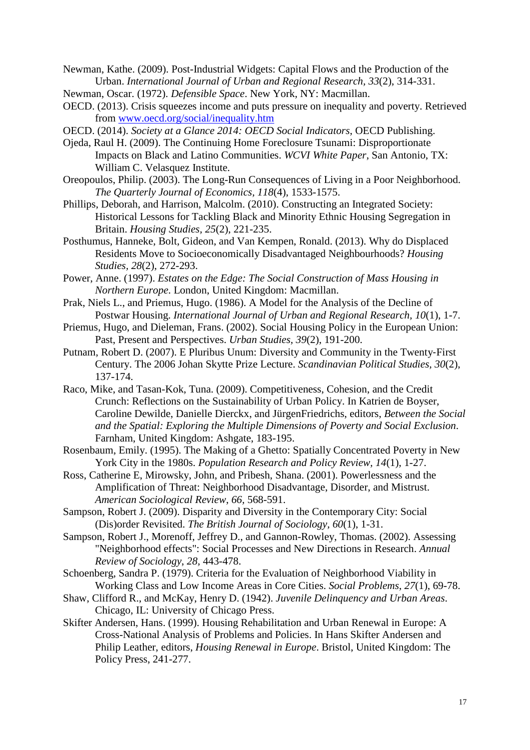Newman, Kathe. (2009). Post-Industrial Widgets: Capital Flows and the Production of the Urban. *International Journal of Urban and Regional Research, 33*(2), 314-331.

Newman, Oscar. (1972). *Defensible Space*. New York, NY: Macmillan.

- OECD. (2013). Crisis squeezes income and puts pressure on inequality and poverty. Retrieved from [www.oecd.org/social/inequality.htm](http://www.oecd.org/social/inequality.htm)
- OECD. (2014). *Society at a Glance 2014: OECD Social Indicators*, OECD Publishing.
- Ojeda, Raul H. (2009). The Continuing Home Foreclosure Tsunami: Disproportionate Impacts on Black and Latino Communities. *WCVI White Paper*, San Antonio, TX: William C. Velasquez Institute.
- Oreopoulos, Philip. (2003). The Long-Run Consequences of Living in a Poor Neighborhood. *The Quarterly Journal of Economics, 118*(4), 1533-1575.
- Phillips, Deborah, and Harrison, Malcolm. (2010). Constructing an Integrated Society: Historical Lessons for Tackling Black and Minority Ethnic Housing Segregation in Britain. *Housing Studies, 25*(2), 221-235.
- Posthumus, Hanneke, Bolt, Gideon, and Van Kempen, Ronald. (2013). Why do Displaced Residents Move to Socioeconomically Disadvantaged Neighbourhoods? *Housing Studies, 28*(2), 272-293.
- Power, Anne. (1997). *Estates on the Edge: The Social Construction of Mass Housing in Northern Europe*. London, United Kingdom: Macmillan.
- Prak, Niels L., and Priemus, Hugo. (1986). A Model for the Analysis of the Decline of Postwar Housing. *International Journal of Urban and Regional Research, 10*(1), 1-7.
- Priemus, Hugo, and Dieleman, Frans. (2002). Social Housing Policy in the European Union: Past, Present and Perspectives. *Urban Studies, 39*(2), 191-200.
- Putnam, Robert D. (2007). E Pluribus Unum: Diversity and Community in the Twenty‐First Century. The 2006 Johan Skytte Prize Lecture. *Scandinavian Political Studies, 30*(2), 137-174.
- Raco, Mike, and Tasan-Kok, Tuna. (2009). Competitiveness, Cohesion, and the Credit Crunch: Reflections on the Sustainability of Urban Policy. In Katrien de Boyser, Caroline Dewilde, Danielle Dierckx, and JürgenFriedrichs, editors, *Between the Social and the Spatial: Exploring the Multiple Dimensions of Poverty and Social Exclusion*. Farnham, United Kingdom: Ashgate, 183-195.
- Rosenbaum, Emily. (1995). The Making of a Ghetto: Spatially Concentrated Poverty in New York City in the 1980s. *Population Research and Policy Review, 14*(1), 1-27.
- Ross, Catherine E, Mirowsky, John, and Pribesh, Shana. (2001). Powerlessness and the Amplification of Threat: Neighborhood Disadvantage, Disorder, and Mistrust. *American Sociological Review*, *66,* 568-591.
- Sampson, Robert J. (2009). Disparity and Diversity in the Contemporary City: Social (Dis)order Revisited. *The British Journal of Sociology, 60*(1), 1-31.
- Sampson, Robert J., Morenoff, Jeffrey D., and Gannon-Rowley, Thomas. (2002). Assessing "Neighborhood effects": Social Processes and New Directions in Research. *Annual Review of Sociology*, *28,* 443-478.
- Schoenberg, Sandra P. (1979). Criteria for the Evaluation of Neighborhood Viability in Working Class and Low Income Areas in Core Cities. *Social Problems*, *27*(1), 69-78.
- Shaw, Clifford R., and McKay, Henry D. (1942). *Juvenile Delinquency and Urban Areas*. Chicago, IL: University of Chicago Press.
- Skifter Andersen, Hans. (1999). Housing Rehabilitation and Urban Renewal in Europe: A Cross-National Analysis of Problems and Policies. In Hans Skifter Andersen and Philip Leather, editors, *Housing Renewal in Europe*. Bristol, United Kingdom: The Policy Press, 241-277.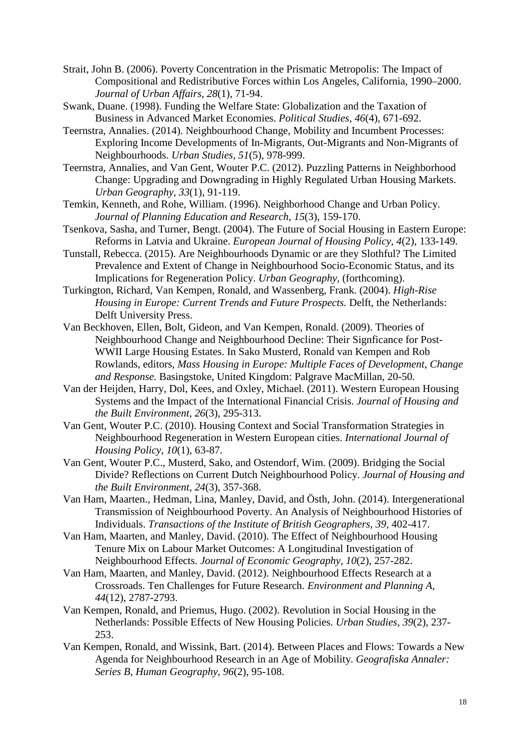- Strait, John B. (2006). Poverty Concentration in the Prismatic Metropolis: The Impact of Compositional and Redistributive Forces within Los Angeles, California, 1990–2000. *Journal of Urban Affairs, 28*(1), 71-94.
- Swank, Duane. (1998). Funding the Welfare State: Globalization and the Taxation of Business in Advanced Market Economies. *Political Studies, 46*(4), 671-692.
- Teernstra, Annalies. (2014). Neighbourhood Change, Mobility and Incumbent Processes: Exploring Income Developments of In-Migrants, Out-Migrants and Non-Migrants of Neighbourhoods. *Urban Studies, 51*(5), 978-999.
- Teernstra, Annalies, and Van Gent, Wouter P.C. (2012). Puzzling Patterns in Neighborhood Change: Upgrading and Downgrading in Highly Regulated Urban Housing Markets. *Urban Geography, 33*(1), 91-119.
- Temkin, Kenneth, and Rohe, William. (1996). Neighborhood Change and Urban Policy. *Journal of Planning Education and Research, 15*(3), 159-170.
- Tsenkova, Sasha, and Turner, Bengt. (2004). The Future of Social Housing in Eastern Europe: Reforms in Latvia and Ukraine. *European Journal of Housing Policy, 4*(2), 133-149.
- Tunstall, Rebecca. (2015). Are Neighbourhoods Dynamic or are they Slothful? The Limited Prevalence and Extent of Change in Neighbourhood Socio-Economic Status, and its Implications for Regeneration Policy. *Urban Geography,* (forthcoming).
- Turkington, Richard, Van Kempen, Ronald, and Wassenberg, Frank. (2004). *High-Rise Housing in Europe: Current Trends and Future Prospects. Delft, the Netherlands:* Delft University Press.
- Van Beckhoven, Ellen, Bolt, Gideon, and Van Kempen, Ronald. (2009). Theories of Neighbourhood Change and Neighbourhood Decline: Their Signficance for Post-WWII Large Housing Estates. In Sako Musterd, Ronald van Kempen and Rob Rowlands, editors, *Mass Housing in Europe: Multiple Faces of Development, Change and Response.* Basingstoke, United Kingdom: Palgrave MacMillan, 20-50.
- Van der Heijden, Harry, Dol, Kees, and Oxley, Michael. (2011). Western European Housing Systems and the Impact of the International Financial Crisis. *Journal of Housing and the Built Environment, 26*(3), 295-313.
- Van Gent, Wouter P.C. (2010). Housing Context and Social Transformation Strategies in Neighbourhood Regeneration in Western European cities. *International Journal of Housing Policy, 10*(1), 63-87.
- Van Gent, Wouter P.C., Musterd, Sako, and Ostendorf, Wim. (2009). Bridging the Social Divide? Reflections on Current Dutch Neighbourhood Policy. *Journal of Housing and the Built Environment, 24*(3), 357-368.
- Van Ham, Maarten., Hedman, Lina, Manley, David, and Östh, John. (2014). Intergenerational Transmission of Neighbourhood Poverty. An Analysis of Neighbourhood Histories of Individuals. *Transactions of the Institute of British Geographers, 39,* 402-417.
- Van Ham, Maarten, and Manley, David. (2010). The Effect of Neighbourhood Housing Tenure Mix on Labour Market Outcomes: A Longitudinal Investigation of Neighbourhood Effects. *Journal of Economic Geography, 10*(2), 257-282.
- Van Ham, Maarten, and Manley, David. (2012). Neighbourhood Effects Research at a Crossroads. Ten Challenges for Future Research. *Environment and Planning A, 44*(12), 2787-2793.
- Van Kempen, Ronald, and Priemus, Hugo. (2002). Revolution in Social Housing in the Netherlands: Possible Effects of New Housing Policies. *Urban Studies, 39*(2), 237- 253.
- Van Kempen, Ronald, and Wissink, Bart. (2014). Between Places and Flows: Towards a New Agenda for Neighbourhood Research in an Age of Mobility. *Geografiska Annaler: Series B, Human Geography, 96*(2), 95-108.